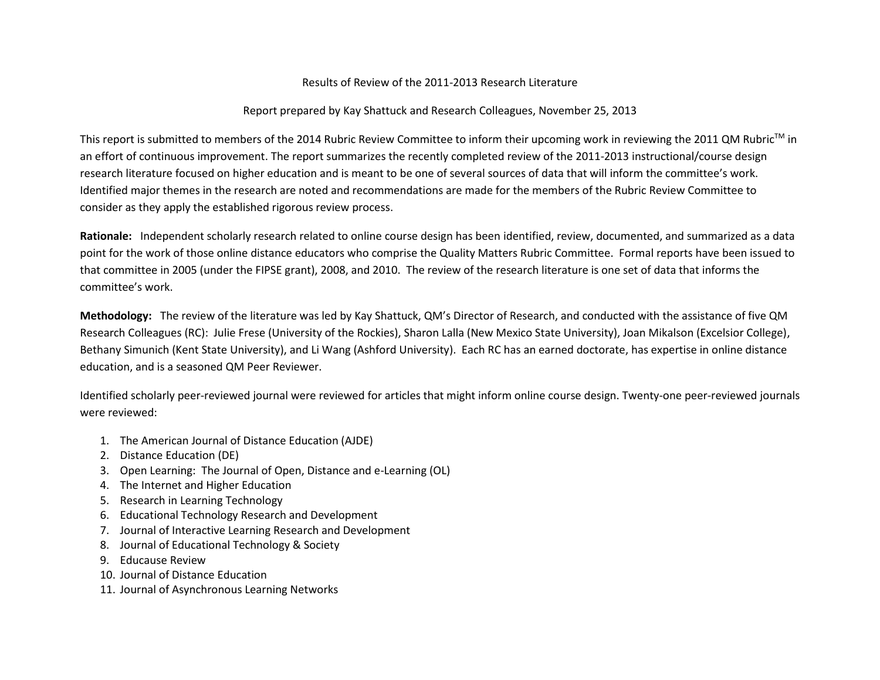## Results of Review of the 2011-2013 Research Literature

## Report prepared by Kay Shattuck and Research Colleagues, November 25, 2013

This report is submitted to members of the 2014 Rubric Review Committee to inform their upcoming work in reviewing the 2011 QM Rubric™ in an effort of continuous improvement. The report summarizes the recently completed review of the 2011-2013 instructional/course design research literature focused on higher education and is meant to be one of several sources of data that will inform the committee's work. Identified major themes in the research are noted and recommendations are made for the members of the Rubric Review Committee to consider as they apply the established rigorous review process.

**Rationale:** Independent scholarly research related to online course design has been identified, review, documented, and summarized as a data point for the work of those online distance educators who comprise the Quality Matters Rubric Committee. Formal reports have been issued to that committee in 2005 (under the FIPSE grant), 2008, and 2010. The review of the research literature is one set of data that informs the committee's work.

**Methodology:** The review of the literature was led by Kay Shattuck, QM's Director of Research, and conducted with the assistance of five QM Research Colleagues (RC): Julie Frese (University of the Rockies), Sharon Lalla (New Mexico State University), Joan Mikalson (Excelsior College), Bethany Simunich (Kent State University), and Li Wang (Ashford University). Each RC has an earned doctorate, has expertise in online distance education, and is a seasoned QM Peer Reviewer.

Identified scholarly peer-reviewed journal were reviewed for articles that might inform online course design. Twenty-one peer-reviewed journals were reviewed:

- 1. The American Journal of Distance Education (AJDE)
- 2. Distance Education (DE)
- 3. Open Learning: The Journal of Open, Distance and e-Learning (OL)
- 4. The Internet and Higher Education
- 5. Research in Learning Technology
- 6. Educational Technology Research and Development
- 7. Journal of Interactive Learning Research and Development
- 8. Journal of Educational Technology & Society
- 9. Educause Review
- 10. Journal of Distance Education
- 11. Journal of Asynchronous Learning Networks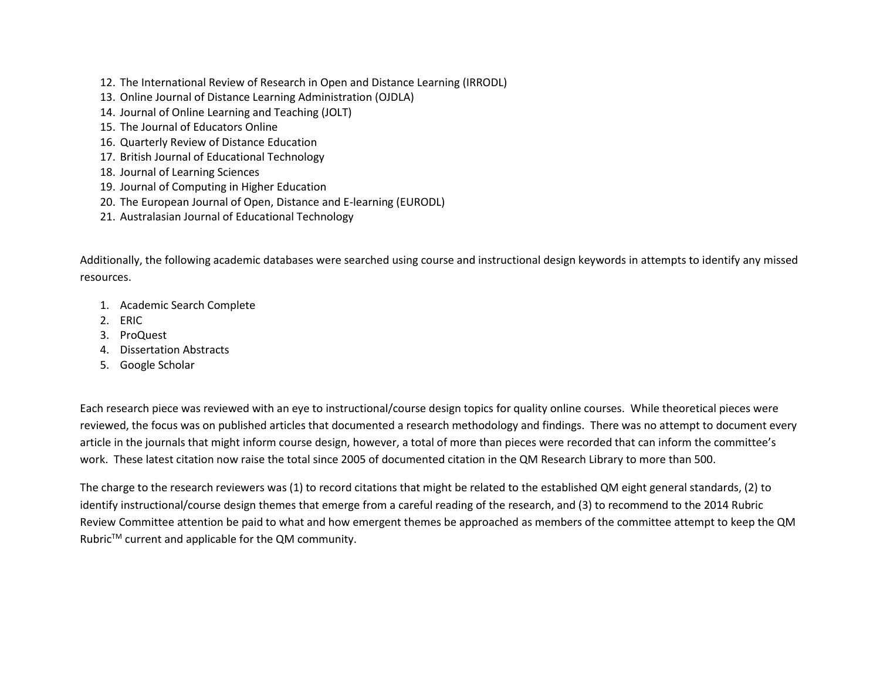- 12. The International Review of Research in Open and Distance Learning (IRRODL)
- 13. Online Journal of Distance Learning Administration (OJDLA)
- 14. Journal of Online Learning and Teaching (JOLT)
- 15. The Journal of Educators Online
- 16. Quarterly Review of Distance Education
- 17. British Journal of Educational Technology
- 18. Journal of Learning Sciences
- 19. Journal of Computing in Higher Education
- 20. The European Journal of Open, Distance and E-learning (EURODL)
- 21. Australasian Journal of Educational Technology

Additionally, the following academic databases were searched using course and instructional design keywords in attempts to identify any missed resources.

- 1. Academic Search Complete
- 2. ERIC
- 3. ProQuest
- 4. Dissertation Abstracts
- 5. Google Scholar

Each research piece was reviewed with an eye to instructional/course design topics for quality online courses. While theoretical pieces were reviewed, the focus was on published articles that documented a research methodology and findings. There was no attempt to document every article in the journals that might inform course design, however, a total of more than pieces were recorded that can inform the committee's work. These latest citation now raise the total since 2005 of documented citation in the QM Research Library to more than 500.

The charge to the research reviewers was (1) to record citations that might be related to the established QM eight general standards, (2) to identify instructional/course design themes that emerge from a careful reading of the research, and (3) to recommend to the 2014 Rubric Review Committee attention be paid to what and how emergent themes be approached as members of the committee attempt to keep the QM Rubric<sup>™</sup> current and applicable for the QM community.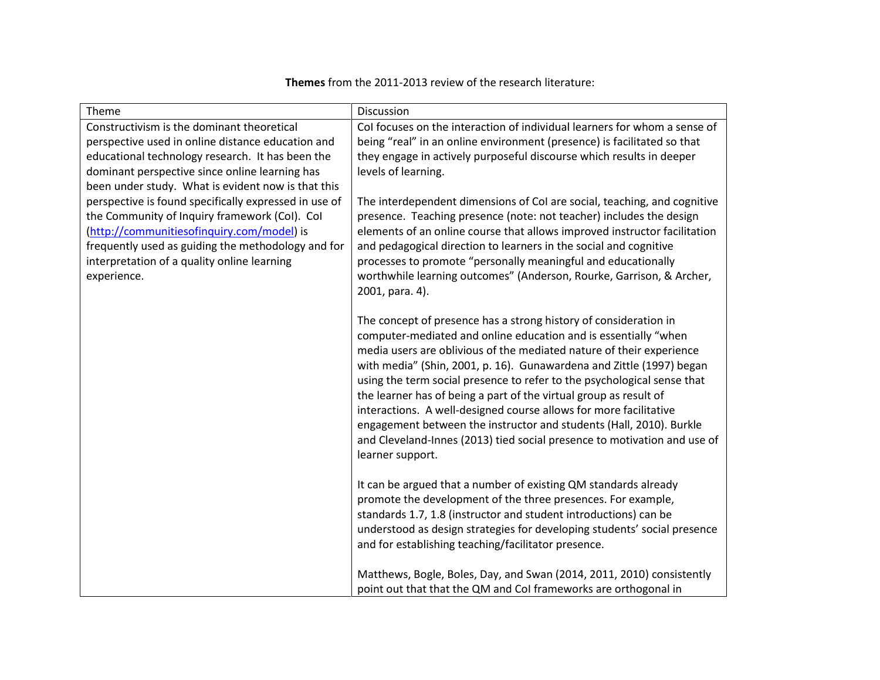## **Themes** from the 2011-2013 review of the research literature:

| Theme                                                                                                                                                                                                                                                                    | Discussion                                                                                                                                                                                                                                                                                                                                                                                                                                                                                                                                                                                                                                                                      |
|--------------------------------------------------------------------------------------------------------------------------------------------------------------------------------------------------------------------------------------------------------------------------|---------------------------------------------------------------------------------------------------------------------------------------------------------------------------------------------------------------------------------------------------------------------------------------------------------------------------------------------------------------------------------------------------------------------------------------------------------------------------------------------------------------------------------------------------------------------------------------------------------------------------------------------------------------------------------|
| Constructivism is the dominant theoretical<br>perspective used in online distance education and<br>educational technology research. It has been the<br>dominant perspective since online learning has<br>been under study. What is evident now is that this              | Col focuses on the interaction of individual learners for whom a sense of<br>being "real" in an online environment (presence) is facilitated so that<br>they engage in actively purposeful discourse which results in deeper<br>levels of learning.                                                                                                                                                                                                                                                                                                                                                                                                                             |
| perspective is found specifically expressed in use of<br>the Community of Inquiry framework (CoI). CoI<br>(http://communitiesofinquiry.com/model) is<br>frequently used as guiding the methodology and for<br>interpretation of a quality online learning<br>experience. | The interdependent dimensions of CoI are social, teaching, and cognitive<br>presence. Teaching presence (note: not teacher) includes the design<br>elements of an online course that allows improved instructor facilitation<br>and pedagogical direction to learners in the social and cognitive<br>processes to promote "personally meaningful and educationally<br>worthwhile learning outcomes" (Anderson, Rourke, Garrison, & Archer,<br>2001, para. 4).                                                                                                                                                                                                                   |
|                                                                                                                                                                                                                                                                          | The concept of presence has a strong history of consideration in<br>computer-mediated and online education and is essentially "when<br>media users are oblivious of the mediated nature of their experience<br>with media" (Shin, 2001, p. 16). Gunawardena and Zittle (1997) began<br>using the term social presence to refer to the psychological sense that<br>the learner has of being a part of the virtual group as result of<br>interactions. A well-designed course allows for more facilitative<br>engagement between the instructor and students (Hall, 2010). Burkle<br>and Cleveland-Innes (2013) tied social presence to motivation and use of<br>learner support. |
|                                                                                                                                                                                                                                                                          | It can be argued that a number of existing QM standards already<br>promote the development of the three presences. For example,<br>standards 1.7, 1.8 (instructor and student introductions) can be<br>understood as design strategies for developing students' social presence<br>and for establishing teaching/facilitator presence.                                                                                                                                                                                                                                                                                                                                          |
|                                                                                                                                                                                                                                                                          | Matthews, Bogle, Boles, Day, and Swan (2014, 2011, 2010) consistently<br>point out that that the QM and CoI frameworks are orthogonal in                                                                                                                                                                                                                                                                                                                                                                                                                                                                                                                                        |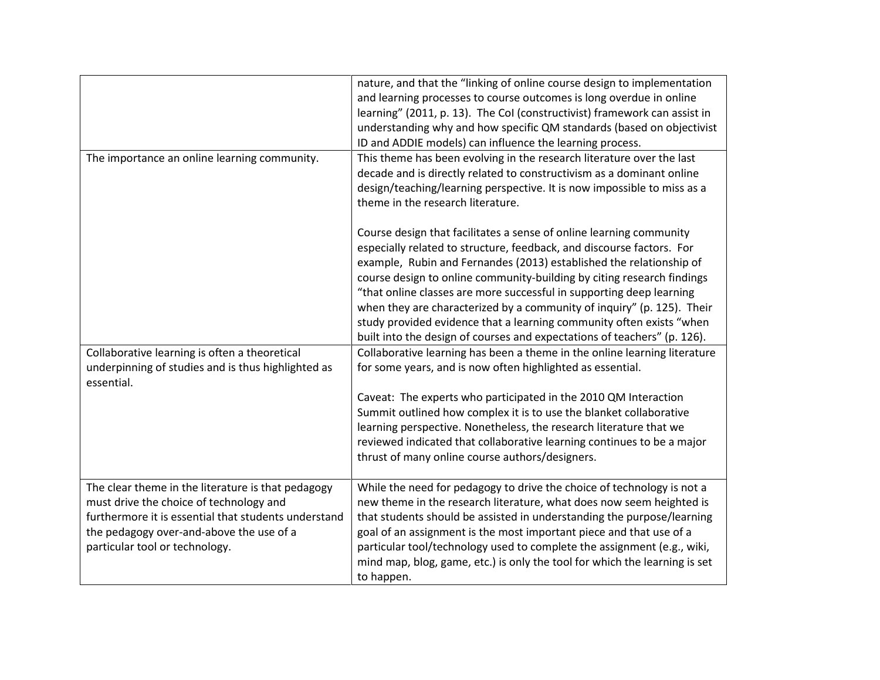|                                                      | nature, and that the "linking of online course design to implementation    |
|------------------------------------------------------|----------------------------------------------------------------------------|
|                                                      | and learning processes to course outcomes is long overdue in online        |
|                                                      | learning" (2011, p. 13). The Col (constructivist) framework can assist in  |
|                                                      | understanding why and how specific QM standards (based on objectivist      |
|                                                      | ID and ADDIE models) can influence the learning process.                   |
| The importance an online learning community.         | This theme has been evolving in the research literature over the last      |
|                                                      | decade and is directly related to constructivism as a dominant online      |
|                                                      | design/teaching/learning perspective. It is now impossible to miss as a    |
|                                                      | theme in the research literature.                                          |
|                                                      |                                                                            |
|                                                      | Course design that facilitates a sense of online learning community        |
|                                                      | especially related to structure, feedback, and discourse factors. For      |
|                                                      | example, Rubin and Fernandes (2013) established the relationship of        |
|                                                      | course design to online community-building by citing research findings     |
|                                                      | "that online classes are more successful in supporting deep learning       |
|                                                      | when they are characterized by a community of inquiry" (p. 125). Their     |
|                                                      | study provided evidence that a learning community often exists "when       |
|                                                      |                                                                            |
|                                                      | built into the design of courses and expectations of teachers" (p. 126).   |
| Collaborative learning is often a theoretical        | Collaborative learning has been a theme in the online learning literature  |
| underpinning of studies and is thus highlighted as   | for some years, and is now often highlighted as essential.                 |
| essential.                                           |                                                                            |
|                                                      | Caveat: The experts who participated in the 2010 QM Interaction            |
|                                                      | Summit outlined how complex it is to use the blanket collaborative         |
|                                                      | learning perspective. Nonetheless, the research literature that we         |
|                                                      | reviewed indicated that collaborative learning continues to be a major     |
|                                                      | thrust of many online course authors/designers.                            |
|                                                      |                                                                            |
| The clear theme in the literature is that pedagogy   | While the need for pedagogy to drive the choice of technology is not a     |
| must drive the choice of technology and              | new theme in the research literature, what does now seem heighted is       |
| furthermore it is essential that students understand | that students should be assisted in understanding the purpose/learning     |
| the pedagogy over-and-above the use of a             | goal of an assignment is the most important piece and that use of a        |
| particular tool or technology.                       | particular tool/technology used to complete the assignment (e.g., wiki,    |
|                                                      | mind map, blog, game, etc.) is only the tool for which the learning is set |
|                                                      | to happen.                                                                 |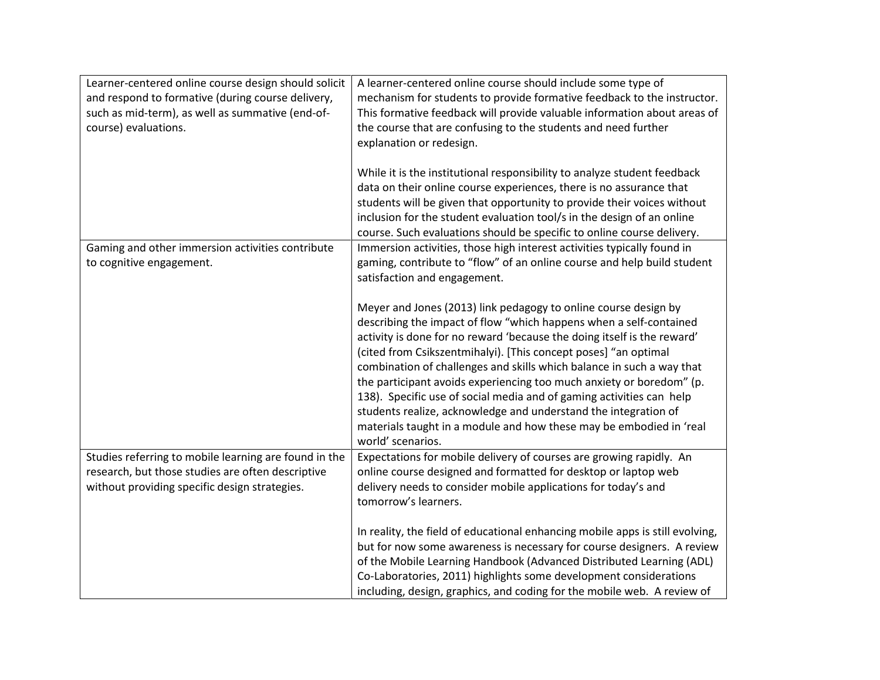| Learner-centered online course design should solicit<br>and respond to formative (during course delivery,<br>such as mid-term), as well as summative (end-of-<br>course) evaluations. | A learner-centered online course should include some type of<br>mechanism for students to provide formative feedback to the instructor.<br>This formative feedback will provide valuable information about areas of<br>the course that are confusing to the students and need further<br>explanation or redesign.                                                                                                                                                                                                                                                                                                                                                           |
|---------------------------------------------------------------------------------------------------------------------------------------------------------------------------------------|-----------------------------------------------------------------------------------------------------------------------------------------------------------------------------------------------------------------------------------------------------------------------------------------------------------------------------------------------------------------------------------------------------------------------------------------------------------------------------------------------------------------------------------------------------------------------------------------------------------------------------------------------------------------------------|
|                                                                                                                                                                                       | While it is the institutional responsibility to analyze student feedback<br>data on their online course experiences, there is no assurance that<br>students will be given that opportunity to provide their voices without<br>inclusion for the student evaluation tool/s in the design of an online<br>course. Such evaluations should be specific to online course delivery.                                                                                                                                                                                                                                                                                              |
| Gaming and other immersion activities contribute<br>to cognitive engagement.                                                                                                          | Immersion activities, those high interest activities typically found in<br>gaming, contribute to "flow" of an online course and help build student<br>satisfaction and engagement.                                                                                                                                                                                                                                                                                                                                                                                                                                                                                          |
|                                                                                                                                                                                       | Meyer and Jones (2013) link pedagogy to online course design by<br>describing the impact of flow "which happens when a self-contained<br>activity is done for no reward 'because the doing itself is the reward'<br>(cited from Csikszentmihalyi). [This concept poses] "an optimal<br>combination of challenges and skills which balance in such a way that<br>the participant avoids experiencing too much anxiety or boredom" (p.<br>138). Specific use of social media and of gaming activities can help<br>students realize, acknowledge and understand the integration of<br>materials taught in a module and how these may be embodied in 'real<br>world' scenarios. |
| Studies referring to mobile learning are found in the<br>research, but those studies are often descriptive<br>without providing specific design strategies.                           | Expectations for mobile delivery of courses are growing rapidly. An<br>online course designed and formatted for desktop or laptop web<br>delivery needs to consider mobile applications for today's and<br>tomorrow's learners.                                                                                                                                                                                                                                                                                                                                                                                                                                             |
|                                                                                                                                                                                       | In reality, the field of educational enhancing mobile apps is still evolving,<br>but for now some awareness is necessary for course designers. A review<br>of the Mobile Learning Handbook (Advanced Distributed Learning (ADL)<br>Co-Laboratories, 2011) highlights some development considerations<br>including, design, graphics, and coding for the mobile web. A review of                                                                                                                                                                                                                                                                                             |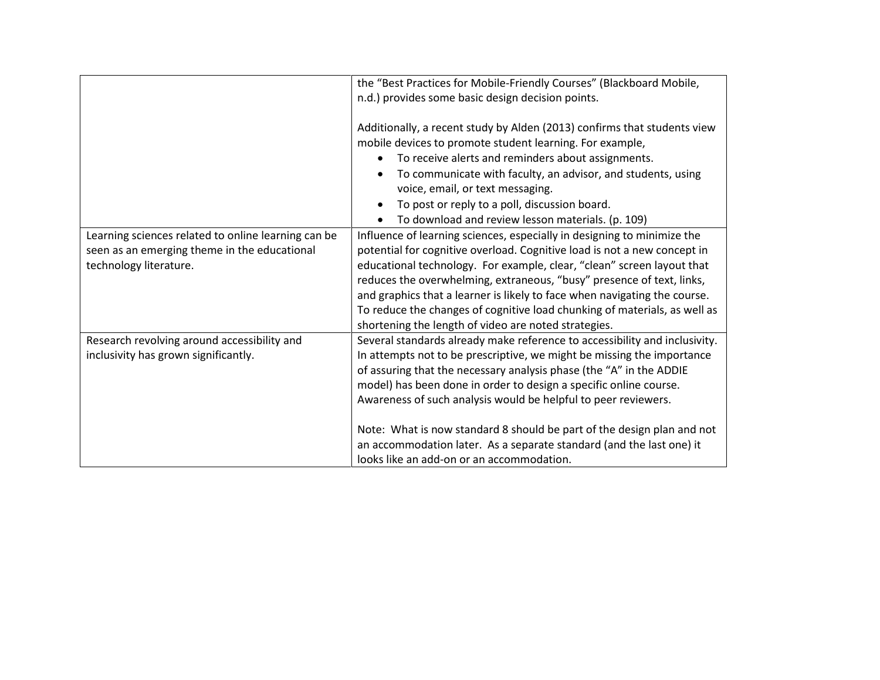|                                                     | the "Best Practices for Mobile-Friendly Courses" (Blackboard Mobile,       |
|-----------------------------------------------------|----------------------------------------------------------------------------|
|                                                     | n.d.) provides some basic design decision points.                          |
|                                                     |                                                                            |
|                                                     | Additionally, a recent study by Alden (2013) confirms that students view   |
|                                                     | mobile devices to promote student learning. For example,                   |
|                                                     | To receive alerts and reminders about assignments.                         |
|                                                     | To communicate with faculty, an advisor, and students, using               |
|                                                     | voice, email, or text messaging.                                           |
|                                                     | To post or reply to a poll, discussion board.                              |
|                                                     | To download and review lesson materials. (p. 109)                          |
| Learning sciences related to online learning can be | Influence of learning sciences, especially in designing to minimize the    |
| seen as an emerging theme in the educational        | potential for cognitive overload. Cognitive load is not a new concept in   |
| technology literature.                              | educational technology. For example, clear, "clean" screen layout that     |
|                                                     | reduces the overwhelming, extraneous, "busy" presence of text, links,      |
|                                                     | and graphics that a learner is likely to face when navigating the course.  |
|                                                     | To reduce the changes of cognitive load chunking of materials, as well as  |
|                                                     | shortening the length of video are noted strategies.                       |
| Research revolving around accessibility and         | Several standards already make reference to accessibility and inclusivity. |
| inclusivity has grown significantly.                | In attempts not to be prescriptive, we might be missing the importance     |
|                                                     | of assuring that the necessary analysis phase (the "A" in the ADDIE        |
|                                                     | model) has been done in order to design a specific online course.          |
|                                                     | Awareness of such analysis would be helpful to peer reviewers.             |
|                                                     |                                                                            |
|                                                     | Note: What is now standard 8 should be part of the design plan and not     |
|                                                     | an accommodation later. As a separate standard (and the last one) it       |
|                                                     | looks like an add-on or an accommodation.                                  |